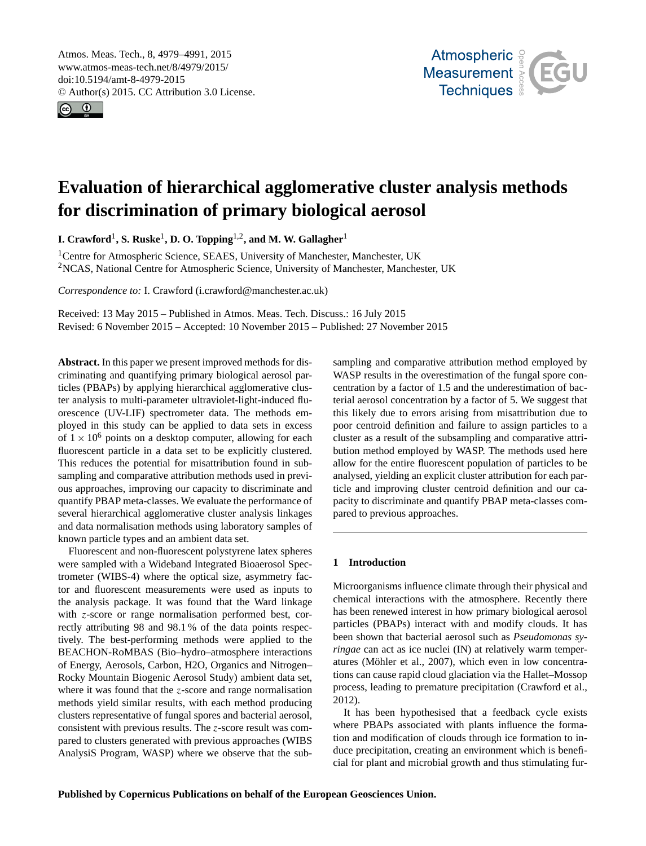<span id="page-0-1"></span>Atmos. Meas. Tech., 8, 4979–4991, 2015 www.atmos-meas-tech.net/8/4979/2015/ doi:10.5194/amt-8-4979-2015 © Author(s) 2015. CC Attribution 3.0 License.





# **Evaluation of hierarchical agglomerative cluster analysis methods for discrimination of primary biological aerosol**

 ${\bf I.~Crawford^1, S.~Ruske^1, D.~O.~Topping^{1,2}},$  ${\bf I.~Crawford^1, S.~Ruske^1, D.~O.~Topping^{1,2}},$  ${\bf I.~Crawford^1, S.~Ruske^1, D.~O.~Topping^{1,2}},$  ${\bf I.~Crawford^1, S.~Ruske^1, D.~O.~Topping^{1,2}},$  ${\bf I.~Crawford^1, S.~Ruske^1, D.~O.~Topping^{1,2}},$  and M. W. Gallagher<sup>1</sup>

<sup>1</sup>Centre for Atmospheric Science, SEAES, University of Manchester, Manchester, UK <sup>2</sup>NCAS, National Centre for Atmospheric Science, University of Manchester, Manchester, UK

*Correspondence to:* I. Crawford (i.crawford@manchester.ac.uk)

Received: 13 May 2015 – Published in Atmos. Meas. Tech. Discuss.: 16 July 2015 Revised: 6 November 2015 – Accepted: 10 November 2015 – Published: 27 November 2015

<span id="page-0-0"></span>**Abstract.** In this paper we present improved methods for discriminating and quantifying primary biological aerosol particles (PBAPs) by applying hierarchical agglomerative cluster analysis to multi-parameter ultraviolet-light-induced fluorescence (UV-LIF) spectrometer data. The methods employed in this study can be applied to data sets in excess of  $1 \times 10^6$  points on a desktop computer, allowing for each fluorescent particle in a data set to be explicitly clustered. This reduces the potential for misattribution found in subsampling and comparative attribution methods used in previous approaches, improving our capacity to discriminate and quantify PBAP meta-classes. We evaluate the performance of several hierarchical agglomerative cluster analysis linkages and data normalisation methods using laboratory samples of known particle types and an ambient data set.

Fluorescent and non-fluorescent polystyrene latex spheres were sampled with a Wideband Integrated Bioaerosol Spectrometer (WIBS-4) where the optical size, asymmetry factor and fluorescent measurements were used as inputs to the analysis package. It was found that the Ward linkage with z-score or range normalisation performed best, correctly attributing 98 and 98.1 % of the data points respectively. The best-performing methods were applied to the BEACHON-RoMBAS (Bio–hydro–atmosphere interactions of Energy, Aerosols, Carbon, H2O, Organics and Nitrogen– Rocky Mountain Biogenic Aerosol Study) ambient data set, where it was found that the z-score and range normalisation methods yield similar results, with each method producing clusters representative of fungal spores and bacterial aerosol, consistent with previous results. The  $z$ -score result was compared to clusters generated with previous approaches (WIBS AnalysiS Program, WASP) where we observe that the sub-

sampling and comparative attribution method employed by WASP results in the overestimation of the fungal spore concentration by a factor of 1.5 and the underestimation of bacterial aerosol concentration by a factor of 5. We suggest that this likely due to errors arising from misattribution due to poor centroid definition and failure to assign particles to a cluster as a result of the subsampling and comparative attribution method employed by WASP. The methods used here allow for the entire fluorescent population of particles to be analysed, yielding an explicit cluster attribution for each particle and improving cluster centroid definition and our capacity to discriminate and quantify PBAP meta-classes compared to previous approaches.

# **1 Introduction**

Microorganisms influence climate through their physical and chemical interactions with the atmosphere. Recently there has been renewed interest in how primary biological aerosol particles (PBAPs) interact with and modify clouds. It has been shown that bacterial aerosol such as *Pseudomonas syringae* can act as ice nuclei (IN) at relatively warm temperatures [\(Möhler et al.,](#page-11-0) [2007\)](#page-11-0), which even in low concentrations can cause rapid cloud glaciation via the Hallet–Mossop process, leading to premature precipitation [\(Crawford et al.,](#page-11-1) [2012\)](#page-11-1).

It has been hypothesised that a feedback cycle exists where PBAPs associated with plants influence the formation and modification of clouds through ice formation to induce precipitation, creating an environment which is beneficial for plant and microbial growth and thus stimulating fur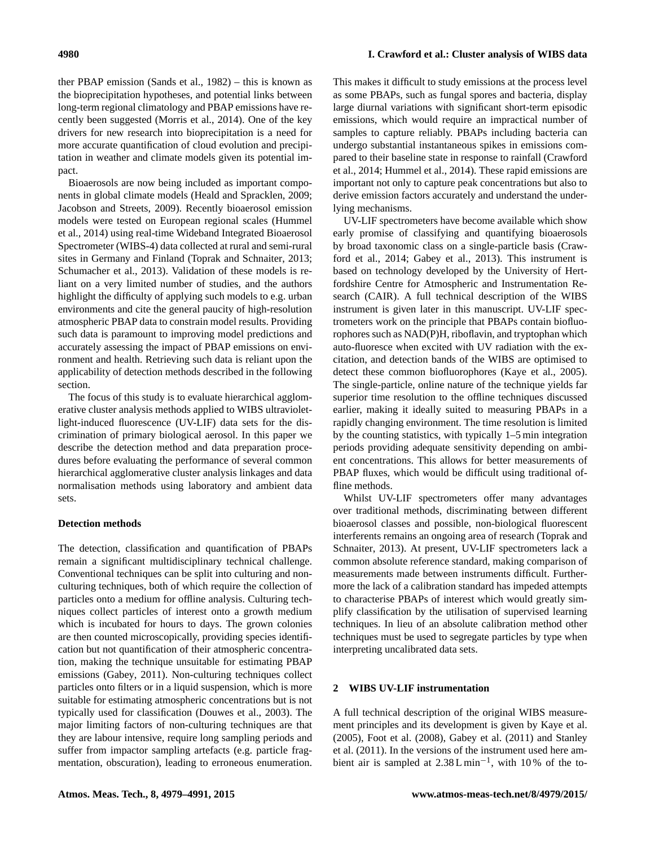ther PBAP emission [\(Sands et al.,](#page-12-0) [1982\)](#page-12-0) – this is known as the bioprecipitation hypotheses, and potential links between long-term regional climatology and PBAP emissions have recently been suggested [\(Morris et al.,](#page-11-2) [2014\)](#page-11-2). One of the key drivers for new research into bioprecipitation is a need for more accurate quantification of cloud evolution and precipitation in weather and climate models given its potential impact.

Bioaerosols are now being included as important components in global climate models [\(Heald and Spracklen,](#page-11-3) [2009;](#page-11-3) [Jacobson and Streets,](#page-11-4) [2009\)](#page-11-4). Recently bioaerosol emission models were tested on European regional scales [\(Hummel](#page-11-5) [et al.,](#page-11-5) [2014\)](#page-11-5) using real-time Wideband Integrated Bioaerosol Spectrometer (WIBS-4) data collected at rural and semi-rural sites in Germany and Finland [\(Toprak and Schnaiter,](#page-12-1) [2013;](#page-12-1) [Schumacher et al.,](#page-12-2) [2013\)](#page-12-2). Validation of these models is reliant on a very limited number of studies, and the authors highlight the difficulty of applying such models to e.g. urban environments and cite the general paucity of high-resolution atmospheric PBAP data to constrain model results. Providing such data is paramount to improving model predictions and accurately assessing the impact of PBAP emissions on environment and health. Retrieving such data is reliant upon the applicability of detection methods described in the following section.

The focus of this study is to evaluate hierarchical agglomerative cluster analysis methods applied to WIBS ultravioletlight-induced fluorescence (UV-LIF) data sets for the discrimination of primary biological aerosol. In this paper we describe the detection method and data preparation procedures before evaluating the performance of several common hierarchical agglomerative cluster analysis linkages and data normalisation methods using laboratory and ambient data sets.

# **Detection methods**

The detection, classification and quantification of PBAPs remain a significant multidisciplinary technical challenge. Conventional techniques can be split into culturing and nonculturing techniques, both of which require the collection of particles onto a medium for offline analysis. Culturing techniques collect particles of interest onto a growth medium which is incubated for hours to days. The grown colonies are then counted microscopically, providing species identification but not quantification of their atmospheric concentration, making the technique unsuitable for estimating PBAP emissions [\(Gabey,](#page-11-6) [2011\)](#page-11-6). Non-culturing techniques collect particles onto filters or in a liquid suspension, which is more suitable for estimating atmospheric concentrations but is not typically used for classification [\(Douwes et al.,](#page-11-7) [2003\)](#page-11-7). The major limiting factors of non-culturing techniques are that they are labour intensive, require long sampling periods and suffer from impactor sampling artefacts (e.g. particle fragmentation, obscuration), leading to erroneous enumeration. This makes it difficult to study emissions at the process level as some PBAPs, such as fungal spores and bacteria, display large diurnal variations with significant short-term episodic emissions, which would require an impractical number of samples to capture reliably. PBAPs including bacteria can undergo substantial instantaneous spikes in emissions compared to their baseline state in response to rainfall [\(Crawford](#page-11-8) [et al.,](#page-11-8) [2014;](#page-11-8) [Hummel et al.,](#page-11-5) [2014\)](#page-11-5). These rapid emissions are important not only to capture peak concentrations but also to derive emission factors accurately and understand the underlying mechanisms.

UV-LIF spectrometers have become available which show early promise of classifying and quantifying bioaerosols by broad taxonomic class on a single-particle basis [\(Craw](#page-11-8)[ford et al.,](#page-11-8) [2014;](#page-11-8) [Gabey et al.,](#page-11-9) [2013\)](#page-11-9). This instrument is based on technology developed by the University of Hertfordshire Centre for Atmospheric and Instrumentation Research (CAIR). A full technical description of the WIBS instrument is given later in this manuscript. UV-LIF spectrometers work on the principle that PBAPs contain biofluorophores such as NAD(P)H, riboflavin, and tryptophan which auto-fluoresce when excited with UV radiation with the excitation, and detection bands of the WIBS are optimised to detect these common biofluorophores [\(Kaye et al.,](#page-11-10) [2005\)](#page-11-10). The single-particle, online nature of the technique yields far superior time resolution to the offline techniques discussed earlier, making it ideally suited to measuring PBAPs in a rapidly changing environment. The time resolution is limited by the counting statistics, with typically 1–5 min integration periods providing adequate sensitivity depending on ambient concentrations. This allows for better measurements of PBAP fluxes, which would be difficult using traditional offline methods.

Whilst UV-LIF spectrometers offer many advantages over traditional methods, discriminating between different bioaerosol classes and possible, non-biological fluorescent interferents remains an ongoing area of research [\(Toprak and](#page-12-1) [Schnaiter,](#page-12-1) [2013\)](#page-12-1). At present, UV-LIF spectrometers lack a common absolute reference standard, making comparison of measurements made between instruments difficult. Furthermore the lack of a calibration standard has impeded attempts to characterise PBAPs of interest which would greatly simplify classification by the utilisation of supervised learning techniques. In lieu of an absolute calibration method other techniques must be used to segregate particles by type when interpreting uncalibrated data sets.

### **2 WIBS UV-LIF instrumentation**

A full technical description of the original WIBS measurement principles and its development is given by [Kaye et al.](#page-11-10) [\(2005\)](#page-11-10), [Foot et al.](#page-11-11) [\(2008\)](#page-11-11), [Gabey et al.](#page-11-12) [\(2011\)](#page-11-12) and [Stanley](#page-12-3) [et al.](#page-12-3) [\(2011\)](#page-12-3). In the versions of the instrument used here ambient air is sampled at 2.38 L min−<sup>1</sup> , with 10 % of the to-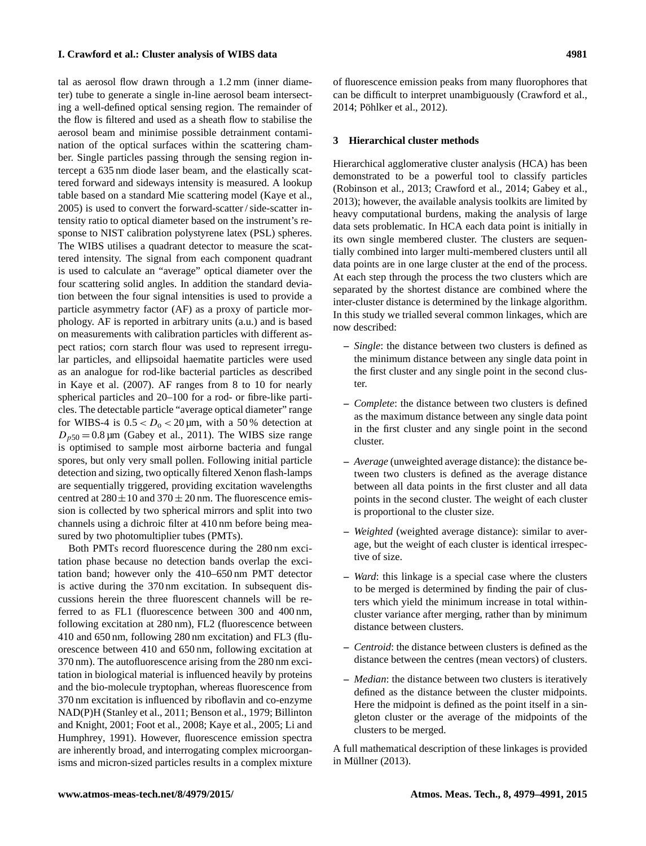# **I. Crawford et al.: Cluster analysis of WIBS data 4981**

tal as aerosol flow drawn through a 1.2 mm (inner diameter) tube to generate a single in-line aerosol beam intersecting a well-defined optical sensing region. The remainder of the flow is filtered and used as a sheath flow to stabilise the aerosol beam and minimise possible detrainment contamination of the optical surfaces within the scattering chamber. Single particles passing through the sensing region intercept a 635 nm diode laser beam, and the elastically scattered forward and sideways intensity is measured. A lookup table based on a standard Mie scattering model [\(Kaye et al.,](#page-11-10) [2005\)](#page-11-10) is used to convert the forward-scatter / side-scatter intensity ratio to optical diameter based on the instrument's response to NIST calibration polystyrene latex (PSL) spheres. The WIBS utilises a quadrant detector to measure the scattered intensity. The signal from each component quadrant is used to calculate an "average" optical diameter over the four scattering solid angles. In addition the standard deviation between the four signal intensities is used to provide a particle asymmetry factor (AF) as a proxy of particle morphology. AF is reported in arbitrary units (a.u.) and is based on measurements with calibration particles with different aspect ratios; corn starch flour was used to represent irregular particles, and ellipsoidal haematite particles were used as an analogue for rod-like bacterial particles as described in [Kaye et al.](#page-11-13) [\(2007\)](#page-11-13). AF ranges from 8 to 10 for nearly spherical particles and 20–100 for a rod- or fibre-like particles. The detectable particle "average optical diameter" range for WIBS-4 is  $0.5 < D_0 < 20 \mu m$ , with a 50% detection at  $D_{p50} = 0.8 \,\text{\mu m}$  [\(Gabey et al.,](#page-11-12) [2011\)](#page-11-12). The WIBS size range is optimised to sample most airborne bacteria and fungal spores, but only very small pollen. Following initial particle detection and sizing, two optically filtered Xenon flash-lamps are sequentially triggered, providing excitation wavelengths centred at  $280 \pm 10$  and  $370 \pm 20$  nm. The fluorescence emission is collected by two spherical mirrors and split into two channels using a dichroic filter at 410 nm before being measured by two photomultiplier tubes (PMTs).

Both PMTs record fluorescence during the 280 nm excitation phase because no detection bands overlap the excitation band; however only the 410–650 nm PMT detector is active during the 370 nm excitation. In subsequent discussions herein the three fluorescent channels will be referred to as FL1 (fluorescence between 300 and 400 nm, following excitation at 280 nm), FL2 (fluorescence between 410 and 650 nm, following 280 nm excitation) and FL3 (fluorescence between 410 and 650 nm, following excitation at 370 nm). The autofluorescence arising from the 280 nm excitation in biological material is influenced heavily by proteins and the bio-molecule tryptophan, whereas fluorescence from 370 nm excitation is influenced by riboflavin and co-enzyme NAD(P)H [\(Stanley et al.,](#page-12-3) [2011;](#page-12-3) [Benson et al.,](#page-11-14) [1979;](#page-11-14) [Billinton](#page-11-15) [and Knight,](#page-11-15) [2001;](#page-11-15) [Foot et al.,](#page-11-11) [2008;](#page-11-11) [Kaye et al.,](#page-11-10) [2005;](#page-11-10) [Li and](#page-11-16) [Humphrey,](#page-11-16) [1991\)](#page-11-16). However, fluorescence emission spectra are inherently broad, and interrogating complex microorganisms and micron-sized particles results in a complex mixture of fluorescence emission peaks from many fluorophores that can be difficult to interpret unambiguously [\(Crawford et al.,](#page-11-8) [2014;](#page-11-8) [Pöhlker et al.,](#page-11-17) [2012\)](#page-11-17).

#### **3 Hierarchical cluster methods**

Hierarchical agglomerative cluster analysis (HCA) has been demonstrated to be a powerful tool to classify particles [\(Robinson et al.,](#page-12-4) [2013;](#page-12-4) [Crawford et al.,](#page-11-8) [2014;](#page-11-8) [Gabey et al.,](#page-11-9) [2013\)](#page-11-9); however, the available analysis toolkits are limited by heavy computational burdens, making the analysis of large data sets problematic. In HCA each data point is initially in its own single membered cluster. The clusters are sequentially combined into larger multi-membered clusters until all data points are in one large cluster at the end of the process. At each step through the process the two clusters which are separated by the shortest distance are combined where the inter-cluster distance is determined by the linkage algorithm. In this study we trialled several common linkages, which are now described:

- **–** *Single*: the distance between two clusters is defined as the minimum distance between any single data point in the first cluster and any single point in the second cluster.
- **–** *Complete*: the distance between two clusters is defined as the maximum distance between any single data point in the first cluster and any single point in the second cluster.
- **–** *Average* (unweighted average distance): the distance between two clusters is defined as the average distance between all data points in the first cluster and all data points in the second cluster. The weight of each cluster is proportional to the cluster size.
- **–** *Weighted* (weighted average distance): similar to average, but the weight of each cluster is identical irrespective of size.
- **–** *Ward*: this linkage is a special case where the clusters to be merged is determined by finding the pair of clusters which yield the minimum increase in total withincluster variance after merging, rather than by minimum distance between clusters.
- **–** *Centroid*: the distance between clusters is defined as the distance between the centres (mean vectors) of clusters.
- **–** *Median*: the distance between two clusters is iteratively defined as the distance between the cluster midpoints. Here the midpoint is defined as the point itself in a singleton cluster or the average of the midpoints of the clusters to be merged.

A full mathematical description of these linkages is provided in [Müllner](#page-11-18) [\(2013\)](#page-11-18).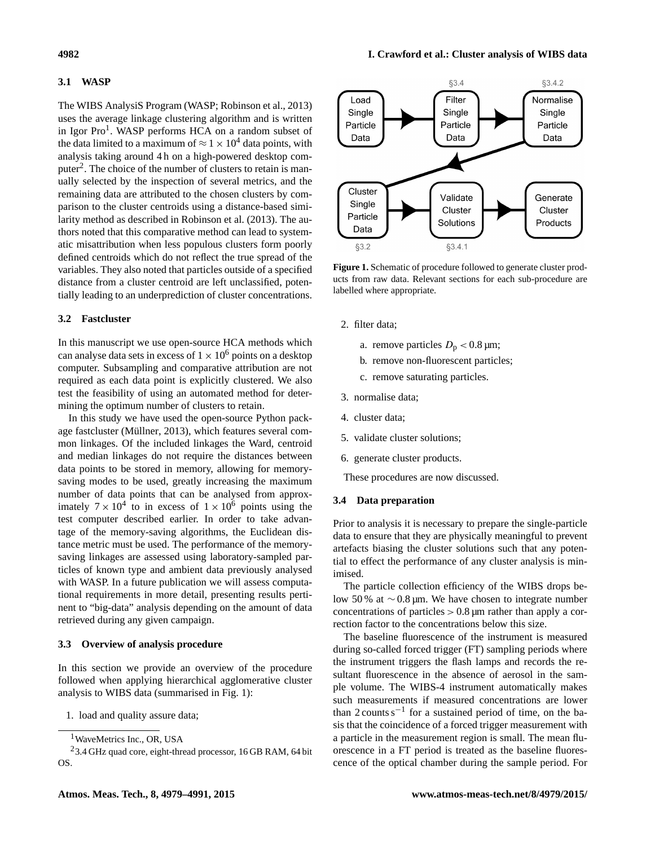# **3.1 WASP**

The WIBS AnalysiS Program (WASP; [Robinson et al.,](#page-12-4) [2013\)](#page-12-4) uses the average linkage clustering algorithm and is written in Igor Pro<sup>1</sup>. WASP performs HCA on a random subset of the data limited to a maximum of  $\approx 1 \times 10^4$  data points, with analysis taking around 4 h on a high-powered desktop computer<sup>2</sup>. The choice of the number of clusters to retain is manually selected by the inspection of several metrics, and the remaining data are attributed to the chosen clusters by comparison to the cluster centroids using a distance-based similarity method as described in [Robinson et al.](#page-12-4) [\(2013\)](#page-12-4). The authors noted that this comparative method can lead to systematic misattribution when less populous clusters form poorly defined centroids which do not reflect the true spread of the variables. They also noted that particles outside of a specified distance from a cluster centroid are left unclassified, potentially leading to an underprediction of cluster concentrations.

# **3.2 Fastcluster**

In this manuscript we use open-source HCA methods which can analyse data sets in excess of  $1 \times 10^6$  points on a desktop computer. Subsampling and comparative attribution are not required as each data point is explicitly clustered. We also test the feasibility of using an automated method for determining the optimum number of clusters to retain.

In this study we have used the open-source Python package fastcluster [\(Müllner,](#page-11-18) [2013\)](#page-11-18), which features several common linkages. Of the included linkages the Ward, centroid and median linkages do not require the distances between data points to be stored in memory, allowing for memorysaving modes to be used, greatly increasing the maximum number of data points that can be analysed from approximately  $7 \times 10^4$  to in excess of  $1 \times 10^6$  points using the test computer described earlier. In order to take advantage of the memory-saving algorithms, the Euclidean distance metric must be used. The performance of the memorysaving linkages are assessed using laboratory-sampled particles of known type and ambient data previously analysed with WASP. In a future publication we will assess computational requirements in more detail, presenting results pertinent to "big-data" analysis depending on the amount of data retrieved during any given campaign.

# **3.3 Overview of analysis procedure**

In this section we provide an overview of the procedure followed when applying hierarchical agglomerative cluster analysis to WIBS data (summarised in Fig. [1\)](#page-3-0):

<span id="page-3-0"></span>

**Figure 1.** Schematic of procedure followed to generate cluster products from raw data. Relevant sections for each sub-procedure are labelled where appropriate.

- 2. filter data;
	- a. remove particles  $D_p < 0.8 \,\text{\mu m}$ ;
	- b. remove non-fluorescent particles;
	- c. remove saturating particles.
- 3. normalise data;
- 4. cluster data;
- 5. validate cluster solutions;
- 6. generate cluster products.

These procedures are now discussed.

# **3.4 Data preparation**

Prior to analysis it is necessary to prepare the single-particle data to ensure that they are physically meaningful to prevent artefacts biasing the cluster solutions such that any potential to effect the performance of any cluster analysis is minimised.

The particle collection efficiency of the WIBS drops below 50 % at ∼ 0.8 µm. We have chosen to integrate number concentrations of particles  $> 0.8 \mu m$  rather than apply a correction factor to the concentrations below this size.

The baseline fluorescence of the instrument is measured during so-called forced trigger (FT) sampling periods where the instrument triggers the flash lamps and records the resultant fluorescence in the absence of aerosol in the sample volume. The WIBS-4 instrument automatically makes such measurements if measured concentrations are lower than 2 counts  $s^{-1}$  for a sustained period of time, on the basis that the coincidence of a forced trigger measurement with a particle in the measurement region is small. The mean fluorescence in a FT period is treated as the baseline fluorescence of the optical chamber during the sample period. For

<sup>1.</sup> load and quality assure data;

<sup>&</sup>lt;sup>1</sup>WaveMetrics Inc., OR, USA

 $^{2}$ 3.4 GHz quad core, eight-thread processor, 16 GB RAM, 64 bit OS.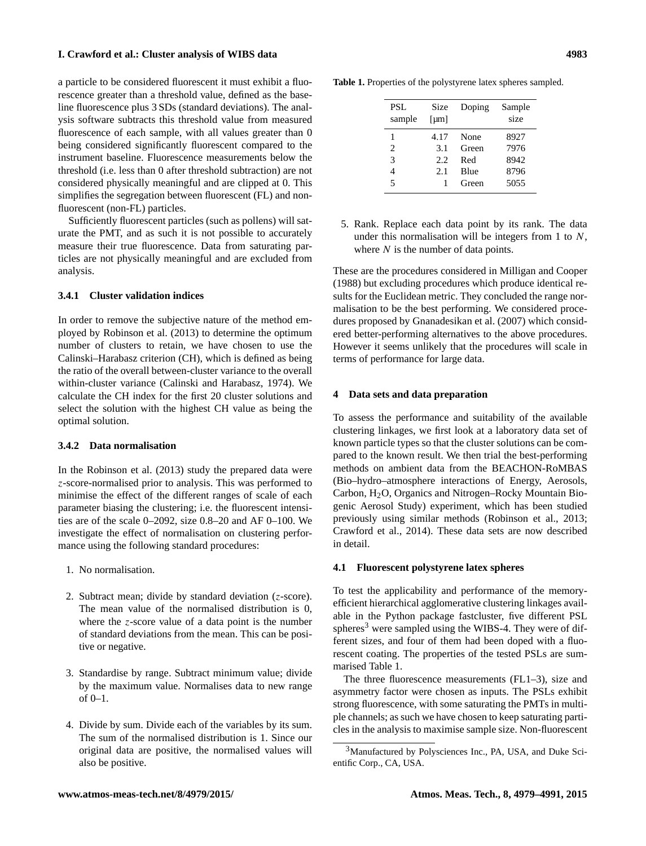# **I. Crawford et al.: Cluster analysis of WIBS data 4983**

a particle to be considered fluorescent it must exhibit a fluorescence greater than a threshold value, defined as the baseline fluorescence plus 3 SDs (standard deviations). The analysis software subtracts this threshold value from measured fluorescence of each sample, with all values greater than 0 being considered significantly fluorescent compared to the instrument baseline. Fluorescence measurements below the threshold (i.e. less than 0 after threshold subtraction) are not considered physically meaningful and are clipped at 0. This simplifies the segregation between fluorescent (FL) and nonfluorescent (non-FL) particles.

Sufficiently fluorescent particles (such as pollens) will saturate the PMT, and as such it is not possible to accurately measure their true fluorescence. Data from saturating particles are not physically meaningful and are excluded from analysis.

# **3.4.1 Cluster validation indices**

In order to remove the subjective nature of the method employed by [Robinson et al.](#page-12-4) [\(2013\)](#page-12-4) to determine the optimum number of clusters to retain, we have chosen to use the Calinski–Harabasz criterion (CH), which is defined as being the ratio of the overall between-cluster variance to the overall within-cluster variance [\(Calinski and Harabasz,](#page-11-19) [1974\)](#page-11-19). We calculate the CH index for the first 20 cluster solutions and select the solution with the highest CH value as being the optimal solution.

# **3.4.2 Data normalisation**

In the [Robinson et al.](#page-12-4) [\(2013\)](#page-12-4) study the prepared data were z-score-normalised prior to analysis. This was performed to minimise the effect of the different ranges of scale of each parameter biasing the clustering; i.e. the fluorescent intensities are of the scale 0–2092, size 0.8–20 and AF 0–100. We investigate the effect of normalisation on clustering performance using the following standard procedures:

- 1. No normalisation.
- 2. Subtract mean; divide by standard deviation (z-score). The mean value of the normalised distribution is 0, where the z-score value of a data point is the number of standard deviations from the mean. This can be positive or negative.
- 3. Standardise by range. Subtract minimum value; divide by the maximum value. Normalises data to new range of 0–1.
- 4. Divide by sum. Divide each of the variables by its sum. The sum of the normalised distribution is 1. Since our original data are positive, the normalised values will also be positive.

<span id="page-4-0"></span>**Table 1.** Properties of the polystyrene latex spheres sampled.

| PSL<br>sample | Size<br>[µm] | Doping       | Sample<br>size |
|---------------|--------------|--------------|----------------|
| 1             | 4.17         | None         | 8927           |
| 2             | 3.1          | Green        | 7976           |
| 3             | 2.2.         | Red          | 8942           |
| 4             | 2.1          | <b>B</b> lue | 8796           |
| 5             |              | Green        | 5055           |

5. Rank. Replace each data point by its rank. The data under this normalisation will be integers from 1 to  $N$ , where  $N$  is the number of data points.

These are the procedures considered in [Milligan and Cooper](#page-11-20) [\(1988\)](#page-11-20) but excluding procedures which produce identical results for the Euclidean metric. They concluded the range normalisation to be the best performing. We considered procedures proposed by [Gnanadesikan et al.](#page-11-21) [\(2007\)](#page-11-21) which considered better-performing alternatives to the above procedures. However it seems unlikely that the procedures will scale in terms of performance for large data.

#### **4 Data sets and data preparation**

To assess the performance and suitability of the available clustering linkages, we first look at a laboratory data set of known particle types so that the cluster solutions can be compared to the known result. We then trial the best-performing methods on ambient data from the BEACHON-RoMBAS (Bio–hydro–atmosphere interactions of Energy, Aerosols, Carbon, H2O, Organics and Nitrogen–Rocky Mountain Biogenic Aerosol Study) experiment, which has been studied previously using similar methods [\(Robinson et al.,](#page-12-4) [2013;](#page-12-4) [Crawford et al.,](#page-11-8) [2014\)](#page-11-8). These data sets are now described in detail.

# **4.1 Fluorescent polystyrene latex spheres**

To test the applicability and performance of the memoryefficient hierarchical agglomerative clustering linkages available in the Python package fastcluster, five different PSL spheres<sup>3</sup> were sampled using the WIBS-4. They were of different sizes, and four of them had been doped with a fluorescent coating. The properties of the tested PSLs are summarised Table [1.](#page-4-0)

The three fluorescence measurements (FL1–3), size and asymmetry factor were chosen as inputs. The PSLs exhibit strong fluorescence, with some saturating the PMTs in multiple channels; as such we have chosen to keep saturating particles in the analysis to maximise sample size. Non-fluorescent

<sup>3</sup>Manufactured by Polysciences Inc., PA, USA, and Duke Scientific Corp., CA, USA.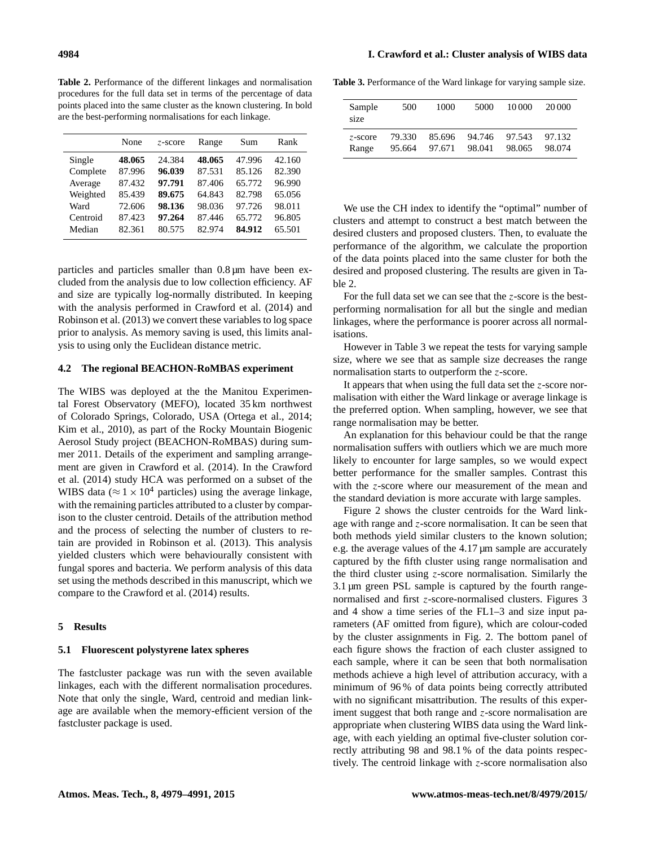<span id="page-5-0"></span>**Table 2.** Performance of the different linkages and normalisation procedures for the full data set in terms of the percentage of data points placed into the same cluster as the known clustering. In bold are the best-performing normalisations for each linkage.

|          | None   | z-score | Range  | Sum    | Rank   |
|----------|--------|---------|--------|--------|--------|
| Single   | 48.065 | 24.384  | 48.065 | 47.996 | 42.160 |
| Complete | 87.996 | 96.039  | 87.531 | 85.126 | 82.390 |
| Average  | 87.432 | 97.791  | 87.406 | 65.772 | 96.990 |
| Weighted | 85.439 | 89.675  | 64.843 | 82.798 | 65.056 |
| Ward     | 72.606 | 98.136  | 98.036 | 97.726 | 98.011 |
| Centroid | 87.423 | 97.264  | 87.446 | 65.772 | 96.805 |
| Median   | 82.361 | 80.575  | 82.974 | 84.912 | 65.501 |

particles and particles smaller than 0.8 µm have been excluded from the analysis due to low collection efficiency. AF and size are typically log-normally distributed. In keeping with the analysis performed in [Crawford et al.](#page-11-8) [\(2014\)](#page-11-8) and [Robinson et al.](#page-12-4) [\(2013\)](#page-12-4) we convert these variables to log space prior to analysis. As memory saving is used, this limits analysis to using only the Euclidean distance metric.

#### **4.2 The regional BEACHON-RoMBAS experiment**

The WIBS was deployed at the the Manitou Experimental Forest Observatory (MEFO), located 35 km northwest of Colorado Springs, Colorado, USA [\(Ortega et al.,](#page-11-22) [2014;](#page-11-22) [Kim et al.,](#page-11-23) [2010\)](#page-11-23), as part of the Rocky Mountain Biogenic Aerosol Study project (BEACHON-RoMBAS) during summer 2011. Details of the experiment and sampling arrangement are given in [Crawford et al.](#page-11-8) [\(2014\)](#page-11-8). In the [Crawford](#page-11-8) [et al.](#page-11-8) [\(2014\)](#page-11-8) study HCA was performed on a subset of the WIBS data ( $\approx 1 \times 10^4$  particles) using the average linkage, with the remaining particles attributed to a cluster by comparison to the cluster centroid. Details of the attribution method and the process of selecting the number of clusters to retain are provided in [Robinson et al.](#page-12-4) [\(2013\)](#page-12-4). This analysis yielded clusters which were behaviourally consistent with fungal spores and bacteria. We perform analysis of this data set using the methods described in this manuscript, which we compare to the [Crawford et al.](#page-11-8) [\(2014\)](#page-11-8) results.

# **5 Results**

# **5.1 Fluorescent polystyrene latex spheres**

The fastcluster package was run with the seven available linkages, each with the different normalisation procedures. Note that only the single, Ward, centroid and median linkage are available when the memory-efficient version of the fastcluster package is used.

<span id="page-5-1"></span>**Table 3.** Performance of the Ward linkage for varying sample size.

| Sample<br>size | 500    | 1000   | 5000          | 10 000 | 20.000 |
|----------------|--------|--------|---------------|--------|--------|
| z-score        | 79.330 | 85.696 | 94.746 97.543 | 98.065 | 97.132 |
| Range          | 95.664 | 97.671 | 98.041        |        | 98.074 |

We use the CH index to identify the "optimal" number of clusters and attempt to construct a best match between the desired clusters and proposed clusters. Then, to evaluate the performance of the algorithm, we calculate the proportion of the data points placed into the same cluster for both the desired and proposed clustering. The results are given in Table [2.](#page-5-0)

For the full data set we can see that the z-score is the bestperforming normalisation for all but the single and median linkages, where the performance is poorer across all normalisations.

However in Table [3](#page-5-1) we repeat the tests for varying sample size, where we see that as sample size decreases the range normalisation starts to outperform the z-score.

It appears that when using the full data set the  $z$ -score normalisation with either the Ward linkage or average linkage is the preferred option. When sampling, however, we see that range normalisation may be better.

An explanation for this behaviour could be that the range normalisation suffers with outliers which we are much more likely to encounter for large samples, so we would expect better performance for the smaller samples. Contrast this with the z-score where our measurement of the mean and the standard deviation is more accurate with large samples.

Figure [2](#page-6-0) shows the cluster centroids for the Ward linkage with range and z-score normalisation. It can be seen that both methods yield similar clusters to the known solution; e.g. the average values of the 4.17 µm sample are accurately captured by the fifth cluster using range normalisation and the third cluster using z-score normalisation. Similarly the 3.1 µm green PSL sample is captured by the fourth rangenormalised and first z-score-normalised clusters. Figures [3](#page-6-1) and [4](#page-7-0) show a time series of the FL1–3 and size input parameters (AF omitted from figure), which are colour-coded by the cluster assignments in Fig. [2.](#page-6-0) The bottom panel of each figure shows the fraction of each cluster assigned to each sample, where it can be seen that both normalisation methods achieve a high level of attribution accuracy, with a minimum of 96 % of data points being correctly attributed with no significant misattribution. The results of this experiment suggest that both range and z-score normalisation are appropriate when clustering WIBS data using the Ward linkage, with each yielding an optimal five-cluster solution correctly attributing 98 and 98.1 % of the data points respectively. The centroid linkage with z-score normalisation also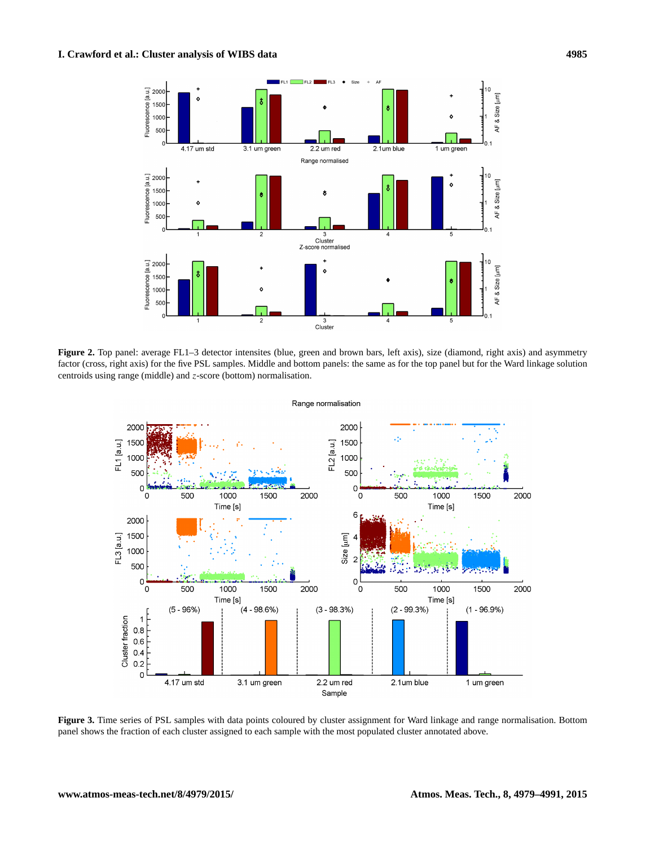<span id="page-6-0"></span>

**Figure 2.** Top panel: average FL1–3 detector intensites (blue, green and brown bars, left axis), size (diamond, right axis) and asymmetry factor (cross, right axis) for the five PSL samples. Middle and bottom panels: the same as for the top panel but for the Ward linkage solution centroids using range (middle) and z-score (bottom) normalisation.

<span id="page-6-1"></span>

# **Figure 3.** Time series of PSL samples with data points coloured by cluster assignment for Ward linkage and range normalisation. Bottom panel shows the fraction of each cluster assigned to each sample with the most populated cluster annotated above.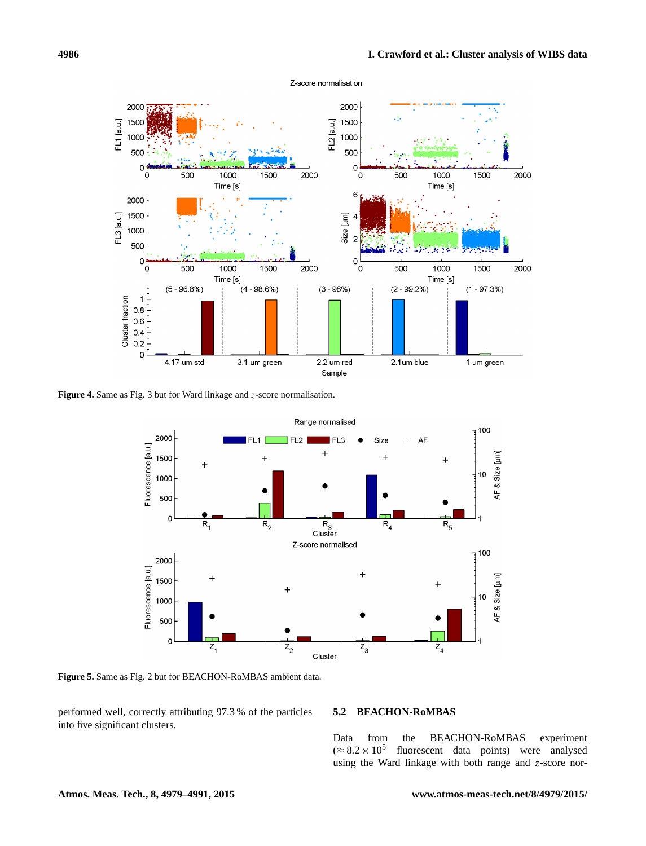<span id="page-7-0"></span>

Z-score normalisation

<span id="page-7-1"></span>**Figure 4.** Same as Fig. [3](#page-6-1) but for Ward linkage and z-score normalisation.



**Figure 5.** Same as Fig. [2](#page-6-0) but for BEACHON-RoMBAS ambient data.

performed well, correctly attributing 97.3 % of the particles into five significant clusters.

# **5.2 BEACHON-RoMBAS**

Data from the BEACHON-RoMBAS experiment  $(\approx 8.2 \times 10^5$  fluorescent data points) were analysed fluorescent data points) were analysed using the Ward linkage with both range and z-score nor-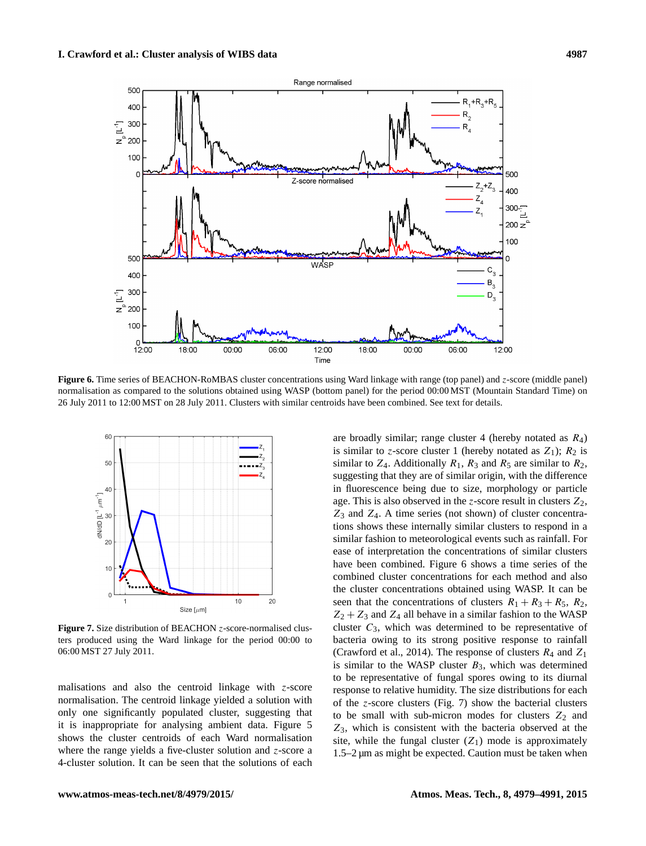<span id="page-8-0"></span>

**Figure 6.** Time series of BEACHON-RoMBAS cluster concentrations using Ward linkage with range (top panel) and z-score (middle panel) normalisation as compared to the solutions obtained using WASP (bottom panel) for the period 00:00 MST (Mountain Standard Time) on 26 July 2011 to 12:00 MST on 28 July 2011. Clusters with similar centroids have been combined. See text for details.

<span id="page-8-1"></span>

**Figure 7.** Size distribution of BEACHON *z*-score-normalised clusters produced using the Ward linkage for the period 00:00 to 06:00 MST 27 July 2011.

malisations and also the centroid linkage with  $z$ -score normalisation. The centroid linkage yielded a solution with only one significantly populated cluster, suggesting that it is inappropriate for analysing ambient data. Figure [5](#page-7-1) shows the cluster centroids of each Ward normalisation where the range yields a five-cluster solution and z-score a 4-cluster solution. It can be seen that the solutions of each are broadly similar; range cluster 4 (hereby notated as  $R_4$ ) is similar to z-score cluster 1 (hereby notated as  $Z_1$ );  $R_2$  is similar to  $Z_4$ . Additionally  $R_1$ ,  $R_3$  and  $R_5$  are similar to  $R_2$ , suggesting that they are of similar origin, with the difference in fluorescence being due to size, morphology or particle age. This is also observed in the z-score result in clusters  $Z_2$ ,  $Z_3$  and  $Z_4$ . A time series (not shown) of cluster concentrations shows these internally similar clusters to respond in a similar fashion to meteorological events such as rainfall. For ease of interpretation the concentrations of similar clusters have been combined. Figure [6](#page-8-0) shows a time series of the combined cluster concentrations for each method and also the cluster concentrations obtained using WASP. It can be seen that the concentrations of clusters  $R_1 + R_3 + R_5$ ,  $R_2$ ,  $Z_2 + Z_3$  and  $Z_4$  all behave in a similar fashion to the WASP cluster  $C_3$ , which was determined to be representative of bacteria owing to its strong positive response to rainfall [\(Crawford et al.,](#page-11-8) [2014\)](#page-11-8). The response of clusters  $R_4$  and  $Z_1$ is similar to the WASP cluster  $B_3$ , which was determined to be representative of fungal spores owing to its diurnal response to relative humidity. The size distributions for each of the z-score clusters (Fig. [7\)](#page-8-1) show the bacterial clusters to be small with sub-micron modes for clusters  $Z_2$  and  $Z_3$ , which is consistent with the bacteria observed at the site, while the fungal cluster  $(Z_1)$  mode is approximately 1.5–2 µm as might be expected. Caution must be taken when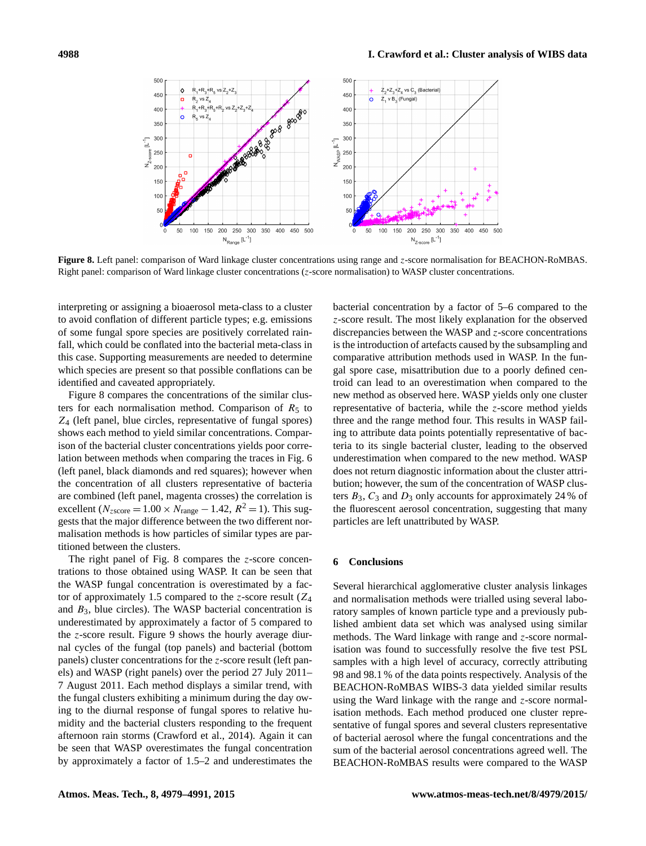<span id="page-9-0"></span>

**Figure 8.** Left panel: comparison of Ward linkage cluster concentrations using range and z-score normalisation for BEACHON-RoMBAS. Right panel: comparison of Ward linkage cluster concentrations (z-score normalisation) to WASP cluster concentrations.

interpreting or assigning a bioaerosol meta-class to a cluster to avoid conflation of different particle types; e.g. emissions of some fungal spore species are positively correlated rainfall, which could be conflated into the bacterial meta-class in this case. Supporting measurements are needed to determine which species are present so that possible conflations can be identified and caveated appropriately.

Figure [8](#page-9-0) compares the concentrations of the similar clusters for each normalisation method. Comparison of  $R_5$  to Z<sup>4</sup> (left panel, blue circles, representative of fungal spores) shows each method to yield similar concentrations. Comparison of the bacterial cluster concentrations yields poor correlation between methods when comparing the traces in Fig. [6](#page-8-0) (left panel, black diamonds and red squares); however when the concentration of all clusters representative of bacteria are combined (left panel, magenta crosses) the correlation is excellent ( $N_{\text{zscore}} = 1.00 \times N_{\text{range}} - 1.42$ ,  $R^2 = 1$ ). This suggests that the major difference between the two different normalisation methods is how particles of similar types are partitioned between the clusters.

The right panel of Fig. [8](#page-9-0) compares the  $z$ -score concentrations to those obtained using WASP. It can be seen that the WASP fungal concentration is overestimated by a factor of approximately 1.5 compared to the z-score result  $(Z_4)$ and  $B_3$ , blue circles). The WASP bacterial concentration is underestimated by approximately a factor of 5 compared to the z-score result. Figure [9](#page-10-0) shows the hourly average diurnal cycles of the fungal (top panels) and bacterial (bottom panels) cluster concentrations for the z-score result (left panels) and WASP (right panels) over the period 27 July 2011– 7 August 2011. Each method displays a similar trend, with the fungal clusters exhibiting a minimum during the day owing to the diurnal response of fungal spores to relative humidity and the bacterial clusters responding to the frequent afternoon rain storms [\(Crawford et al.,](#page-11-8) [2014\)](#page-11-8). Again it can be seen that WASP overestimates the fungal concentration by approximately a factor of 1.5–2 and underestimates the bacterial concentration by a factor of 5–6 compared to the z-score result. The most likely explanation for the observed discrepancies between the WASP and z-score concentrations is the introduction of artefacts caused by the subsampling and comparative attribution methods used in WASP. In the fungal spore case, misattribution due to a poorly defined centroid can lead to an overestimation when compared to the new method as observed here. WASP yields only one cluster representative of bacteria, while the z-score method yields three and the range method four. This results in WASP failing to attribute data points potentially representative of bacteria to its single bacterial cluster, leading to the observed underestimation when compared to the new method. WASP does not return diagnostic information about the cluster attribution; however, the sum of the concentration of WASP clusters  $B_3$ ,  $C_3$  and  $D_3$  only accounts for approximately 24 % of the fluorescent aerosol concentration, suggesting that many particles are left unattributed by WASP.

# **6 Conclusions**

Several hierarchical agglomerative cluster analysis linkages and normalisation methods were trialled using several laboratory samples of known particle type and a previously published ambient data set which was analysed using similar methods. The Ward linkage with range and z-score normalisation was found to successfully resolve the five test PSL samples with a high level of accuracy, correctly attributing 98 and 98.1 % of the data points respectively. Analysis of the BEACHON-RoMBAS WIBS-3 data yielded similar results using the Ward linkage with the range and  $z$ -score normalisation methods. Each method produced one cluster representative of fungal spores and several clusters representative of bacterial aerosol where the fungal concentrations and the sum of the bacterial aerosol concentrations agreed well. The BEACHON-RoMBAS results were compared to the WASP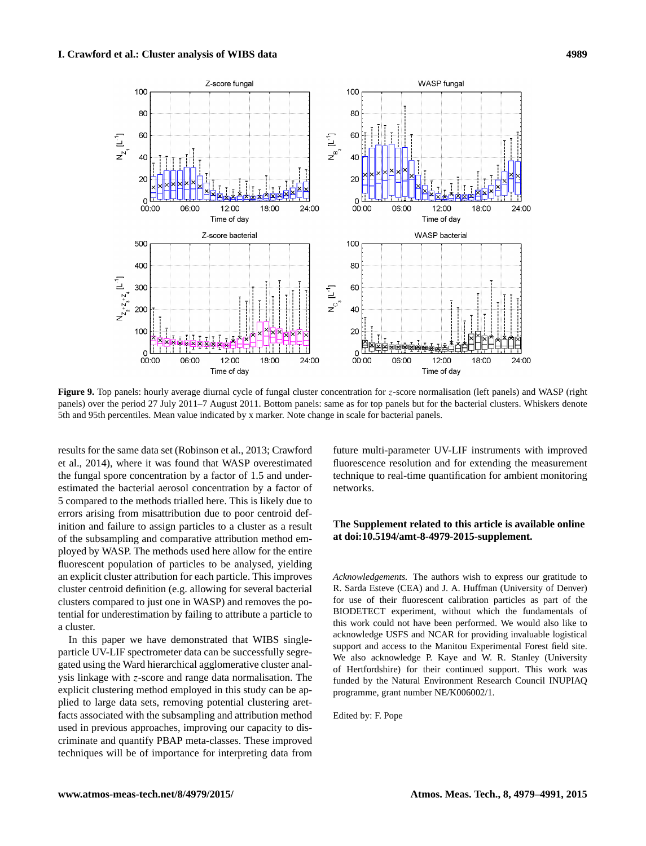<span id="page-10-0"></span>

**Figure 9.** Top panels: hourly average diurnal cycle of fungal cluster concentration for z-score normalisation (left panels) and WASP (right panels) over the period 27 July 2011–7 August 2011. Bottom panels: same as for top panels but for the bacterial clusters. Whiskers denote 5th and 95th percentiles. Mean value indicated by x marker. Note change in scale for bacterial panels.

results for the same data set [\(Robinson et al.,](#page-12-4) [2013;](#page-12-4) [Crawford](#page-11-8) [et al.,](#page-11-8) [2014\)](#page-11-8), where it was found that WASP overestimated the fungal spore concentration by a factor of 1.5 and underestimated the bacterial aerosol concentration by a factor of 5 compared to the methods trialled here. This is likely due to errors arising from misattribution due to poor centroid definition and failure to assign particles to a cluster as a result of the subsampling and comparative attribution method employed by WASP. The methods used here allow for the entire fluorescent population of particles to be analysed, yielding an explicit cluster attribution for each particle. This improves cluster centroid definition (e.g. allowing for several bacterial clusters compared to just one in WASP) and removes the potential for underestimation by failing to attribute a particle to a cluster.

In this paper we have demonstrated that WIBS singleparticle UV-LIF spectrometer data can be successfully segregated using the Ward hierarchical agglomerative cluster analysis linkage with z-score and range data normalisation. The explicit clustering method employed in this study can be applied to large data sets, removing potential clustering aretfacts associated with the subsampling and attribution method used in previous approaches, improving our capacity to discriminate and quantify PBAP meta-classes. These improved techniques will be of importance for interpreting data from future multi-parameter UV-LIF instruments with improved fluorescence resolution and for extending the measurement technique to real-time quantification for ambient monitoring networks.

# **The Supplement related to this article is available online at [doi:10.5194/amt-8-4979-2015-supplement.](http://dx.doi.org/10.5194/amt-8-4979-2015-supplement)**

*Acknowledgements.* The authors wish to express our gratitude to R. Sarda Esteve (CEA) and J. A. Huffman (University of Denver) for use of their fluorescent calibration particles as part of the BIODETECT experiment, without which the fundamentals of this work could not have been performed. We would also like to acknowledge USFS and NCAR for providing invaluable logistical support and access to the Manitou Experimental Forest field site. We also acknowledge P. Kaye and W. R. Stanley (University of Hertfordshire) for their continued support. This work was funded by the Natural Environment Research Council INUPIAQ programme, grant number NE/K006002/1.

Edited by: F. Pope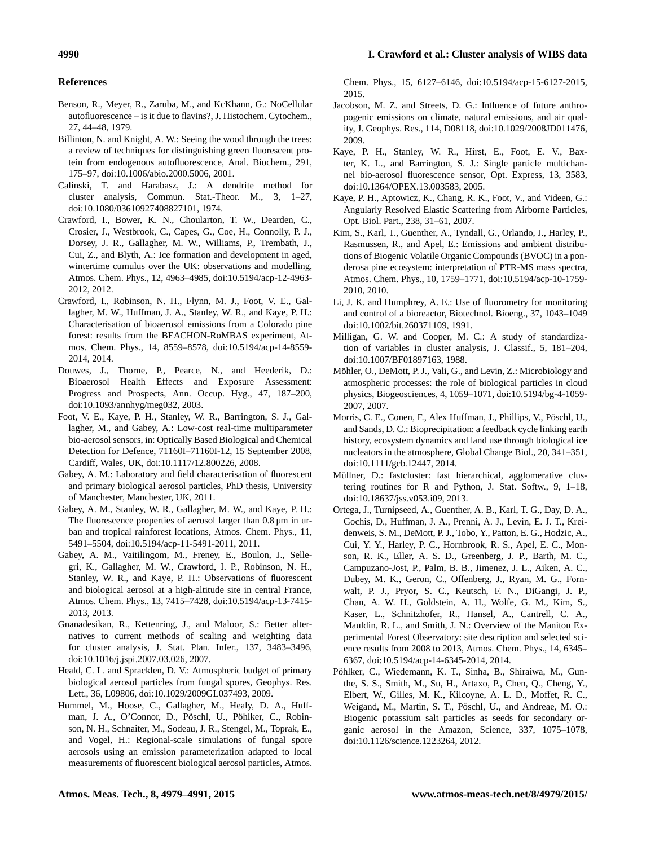### **References**

- <span id="page-11-14"></span>Benson, R., Meyer, R., Zaruba, M., and KcKhann, G.: NoCellular autofluorescence – is it due to flavins?, J. Histochem. Cytochem., 27, 44–48, 1979.
- <span id="page-11-15"></span>Billinton, N. and Knight, A. W.: Seeing the wood through the trees: a review of techniques for distinguishing green fluorescent protein from endogenous autofluorescence, Anal. Biochem., 291, 175–97, doi[:10.1006/abio.2000.5006,](http://dx.doi.org/10.1006/abio.2000.5006) 2001.
- <span id="page-11-19"></span>Calinski, T. and Harabasz, J.: A dendrite method for cluster analysis, Commun. Stat.-Theor. M., 3, 1–27, doi[:10.1080/03610927408827101,](http://dx.doi.org/10.1080/03610927408827101) 1974.
- <span id="page-11-1"></span>Crawford, I., Bower, K. N., Choularton, T. W., Dearden, C., Crosier, J., Westbrook, C., Capes, G., Coe, H., Connolly, P. J., Dorsey, J. R., Gallagher, M. W., Williams, P., Trembath, J., Cui, Z., and Blyth, A.: Ice formation and development in aged, wintertime cumulus over the UK: observations and modelling, Atmos. Chem. Phys., 12, 4963–4985, doi[:10.5194/acp-12-4963-](http://dx.doi.org/10.5194/acp-12-4963-2012) [2012,](http://dx.doi.org/10.5194/acp-12-4963-2012) 2012.
- <span id="page-11-8"></span>Crawford, I., Robinson, N. H., Flynn, M. J., Foot, V. E., Gallagher, M. W., Huffman, J. A., Stanley, W. R., and Kaye, P. H.: Characterisation of bioaerosol emissions from a Colorado pine forest: results from the BEACHON-RoMBAS experiment, Atmos. Chem. Phys., 14, 8559–8578, doi[:10.5194/acp-14-8559-](http://dx.doi.org/10.5194/acp-14-8559-2014) [2014,](http://dx.doi.org/10.5194/acp-14-8559-2014) 2014.
- <span id="page-11-7"></span>Douwes, J., Thorne, P., Pearce, N., and Heederik, D.: Bioaerosol Health Effects and Exposure Assessment: Progress and Prospects, Ann. Occup. Hyg., 47, 187–200, doi[:10.1093/annhyg/meg032,](http://dx.doi.org/10.1093/annhyg/meg032) 2003.
- <span id="page-11-11"></span>Foot, V. E., Kaye, P. H., Stanley, W. R., Barrington, S. J., Gallagher, M., and Gabey, A.: Low-cost real-time multiparameter bio-aerosol sensors, in: Optically Based Biological and Chemical Detection for Defence, 71160I–71160I-12, 15 September 2008, Cardiff, Wales, UK, doi[:10.1117/12.800226,](http://dx.doi.org/10.1117/12.800226) 2008.
- <span id="page-11-6"></span>Gabey, A. M.: Laboratory and field characterisation of fluorescent and primary biological aerosol particles, PhD thesis, University of Manchester, Manchester, UK, 2011.
- <span id="page-11-12"></span>Gabey, A. M., Stanley, W. R., Gallagher, M. W., and Kaye, P. H.: The fluorescence properties of aerosol larger than  $0.8 \mu m$  in urban and tropical rainforest locations, Atmos. Chem. Phys., 11, 5491–5504, doi[:10.5194/acp-11-5491-2011,](http://dx.doi.org/10.5194/acp-11-5491-2011) 2011.
- <span id="page-11-9"></span>Gabey, A. M., Vaitilingom, M., Freney, E., Boulon, J., Sellegri, K., Gallagher, M. W., Crawford, I. P., Robinson, N. H., Stanley, W. R., and Kaye, P. H.: Observations of fluorescent and biological aerosol at a high-altitude site in central France, Atmos. Chem. Phys., 13, 7415–7428, doi[:10.5194/acp-13-7415-](http://dx.doi.org/10.5194/acp-13-7415-2013) [2013,](http://dx.doi.org/10.5194/acp-13-7415-2013) 2013.
- <span id="page-11-21"></span>Gnanadesikan, R., Kettenring, J., and Maloor, S.: Better alternatives to current methods of scaling and weighting data for cluster analysis, J. Stat. Plan. Infer., 137, 3483–3496, doi[:10.1016/j.jspi.2007.03.026,](http://dx.doi.org/10.1016/j.jspi.2007.03.026) 2007.
- <span id="page-11-3"></span>Heald, C. L. and Spracklen, D. V.: Atmospheric budget of primary biological aerosol particles from fungal spores, Geophys. Res. Lett., 36, L09806, doi[:10.1029/2009GL037493,](http://dx.doi.org/10.1029/2009GL037493) 2009.
- <span id="page-11-5"></span>Hummel, M., Hoose, C., Gallagher, M., Healy, D. A., Huffman, J. A., O'Connor, D., Pöschl, U., Pöhlker, C., Robinson, N. H., Schnaiter, M., Sodeau, J. R., Stengel, M., Toprak, E., and Vogel, H.: Regional-scale simulations of fungal spore aerosols using an emission parameterization adapted to local measurements of fluorescent biological aerosol particles, Atmos.

Chem. Phys., 15, 6127–6146, doi[:10.5194/acp-15-6127-2015,](http://dx.doi.org/10.5194/acp-15-6127-2015) 2015.

- <span id="page-11-4"></span>Jacobson, M. Z. and Streets, D. G.: Influence of future anthropogenic emissions on climate, natural emissions, and air quality, J. Geophys. Res., 114, D08118, doi[:10.1029/2008JD011476,](http://dx.doi.org/10.1029/2008JD011476) 2009.
- <span id="page-11-10"></span>Kaye, P. H., Stanley, W. R., Hirst, E., Foot, E. V., Baxter, K. L., and Barrington, S. J.: Single particle multichannel bio-aerosol fluorescence sensor, Opt. Express, 13, 3583, doi[:10.1364/OPEX.13.003583,](http://dx.doi.org/10.1364/OPEX.13.003583) 2005.
- <span id="page-11-13"></span>Kaye, P. H., Aptowicz, K., Chang, R. K., Foot, V., and Videen, G.: Angularly Resolved Elastic Scattering from Airborne Particles, Opt. Biol. Part., 238, 31–61, 2007.
- <span id="page-11-23"></span>Kim, S., Karl, T., Guenther, A., Tyndall, G., Orlando, J., Harley, P., Rasmussen, R., and Apel, E.: Emissions and ambient distributions of Biogenic Volatile Organic Compounds (BVOC) in a ponderosa pine ecosystem: interpretation of PTR-MS mass spectra, Atmos. Chem. Phys., 10, 1759–1771, doi[:10.5194/acp-10-1759-](http://dx.doi.org/10.5194/acp-10-1759-2010) [2010,](http://dx.doi.org/10.5194/acp-10-1759-2010) 2010.
- <span id="page-11-16"></span>Li, J. K. and Humphrey, A. E.: Use of fluorometry for monitoring and control of a bioreactor, Biotechnol. Bioeng., 37, 1043–1049 doi[:10.1002/bit.260371109,](http://dx.doi.org/10.1002/bit.260371109) 1991.
- <span id="page-11-20"></span>Milligan, G. W. and Cooper, M. C.: A study of standardization of variables in cluster analysis, J. Classif., 5, 181–204, doi[:10.1007/BF01897163,](http://dx.doi.org/10.1007/BF01897163) 1988.
- <span id="page-11-0"></span>Möhler, O., DeMott, P. J., Vali, G., and Levin, Z.: Microbiology and atmospheric processes: the role of biological particles in cloud physics, Biogeosciences, 4, 1059–1071, doi[:10.5194/bg-4-1059-](http://dx.doi.org/10.5194/bg-4-1059-2007) [2007,](http://dx.doi.org/10.5194/bg-4-1059-2007) 2007.
- <span id="page-11-2"></span>Morris, C. E., Conen, F., Alex Huffman, J., Phillips, V., Pöschl, U., and Sands, D. C.: Bioprecipitation: a feedback cycle linking earth history, ecosystem dynamics and land use through biological ice nucleators in the atmosphere, Global Change Biol., 20, 341–351, doi[:10.1111/gcb.12447,](http://dx.doi.org/10.1111/gcb.12447) 2014.
- <span id="page-11-18"></span>Müllner, D.: fastcluster: fast hierarchical, agglomerative clustering routines for R and Python, J. Stat. Softw., 9, 1–18, doi[:10.18637/jss.v053.i09,](http://dx.doi.org/10.18637/jss.v053.i09) 2013.
- <span id="page-11-22"></span>Ortega, J., Turnipseed, A., Guenther, A. B., Karl, T. G., Day, D. A., Gochis, D., Huffman, J. A., Prenni, A. J., Levin, E. J. T., Kreidenweis, S. M., DeMott, P. J., Tobo, Y., Patton, E. G., Hodzic, A., Cui, Y. Y., Harley, P. C., Hornbrook, R. S., Apel, E. C., Monson, R. K., Eller, A. S. D., Greenberg, J. P., Barth, M. C., Campuzano-Jost, P., Palm, B. B., Jimenez, J. L., Aiken, A. C., Dubey, M. K., Geron, C., Offenberg, J., Ryan, M. G., Fornwalt, P. J., Pryor, S. C., Keutsch, F. N., DiGangi, J. P., Chan, A. W. H., Goldstein, A. H., Wolfe, G. M., Kim, S., Kaser, L., Schnitzhofer, R., Hansel, A., Cantrell, C. A., Mauldin, R. L., and Smith, J. N.: Overview of the Manitou Experimental Forest Observatory: site description and selected science results from 2008 to 2013, Atmos. Chem. Phys., 14, 6345– 6367, doi[:10.5194/acp-14-6345-2014,](http://dx.doi.org/10.5194/acp-14-6345-2014) 2014.
- <span id="page-11-17"></span>Pöhlker, C., Wiedemann, K. T., Sinha, B., Shiraiwa, M., Gunthe, S. S., Smith, M., Su, H., Artaxo, P., Chen, Q., Cheng, Y., Elbert, W., Gilles, M. K., Kilcoyne, A. L. D., Moffet, R. C., Weigand, M., Martin, S. T., Pöschl, U., and Andreae, M. O.: Biogenic potassium salt particles as seeds for secondary organic aerosol in the Amazon, Science, 337, 1075–1078, doi[:10.1126/science.1223264,](http://dx.doi.org/10.1126/science.1223264) 2012.